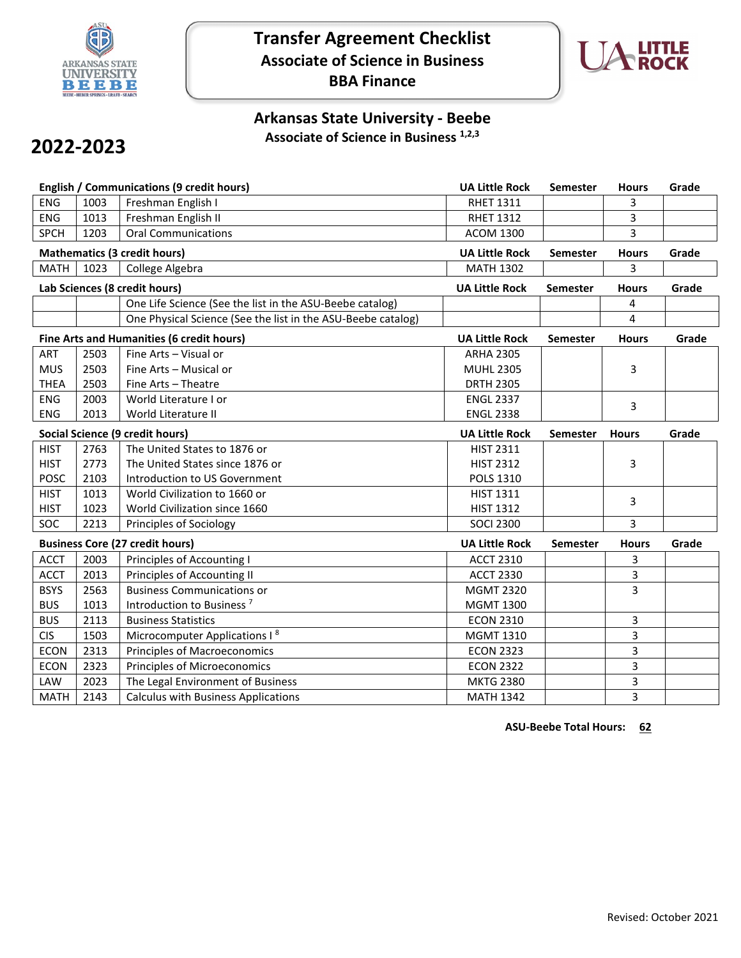

## **Transfer Agreement Checklist Associate of Science in Business BBA Finance**



## **Arkansas State University - Beebe Associate of Science in Business 1,2,3**

## **2022-2023**

|             |      | <b>English / Communications (9 credit hours)</b>             | <b>UA Little Rock</b> | Semester        | <b>Hours</b> | Grade |
|-------------|------|--------------------------------------------------------------|-----------------------|-----------------|--------------|-------|
| <b>ENG</b>  | 1003 | Freshman English I                                           | <b>RHET 1311</b>      |                 | 3            |       |
| <b>ENG</b>  | 1013 | Freshman English II                                          | <b>RHET 1312</b>      |                 | 3            |       |
| <b>SPCH</b> | 1203 | <b>Oral Communications</b>                                   | <b>ACOM 1300</b>      |                 | 3            |       |
|             |      | <b>Mathematics (3 credit hours)</b>                          | <b>UA Little Rock</b> | <b>Semester</b> | <b>Hours</b> | Grade |
| <b>MATH</b> | 1023 | College Algebra                                              | <b>MATH 1302</b>      |                 | 3            |       |
|             |      | Lab Sciences (8 credit hours)                                | <b>UA Little Rock</b> | <b>Semester</b> | <b>Hours</b> | Grade |
|             |      | One Life Science (See the list in the ASU-Beebe catalog)     |                       |                 | 4            |       |
|             |      | One Physical Science (See the list in the ASU-Beebe catalog) |                       |                 | 4            |       |
|             |      | Fine Arts and Humanities (6 credit hours)                    | <b>UA Little Rock</b> | Semester        | <b>Hours</b> | Grade |
| <b>ART</b>  | 2503 | Fine Arts - Visual or                                        | <b>ARHA 2305</b>      |                 |              |       |
| <b>MUS</b>  | 2503 | Fine Arts - Musical or                                       | <b>MUHL 2305</b>      |                 | 3            |       |
| <b>THEA</b> | 2503 | Fine Arts - Theatre                                          | <b>DRTH 2305</b>      |                 |              |       |
| <b>ENG</b>  | 2003 | World Literature I or                                        | <b>ENGL 2337</b>      |                 | 3            |       |
| <b>ENG</b>  | 2013 | World Literature II                                          | <b>ENGL 2338</b>      |                 |              |       |
|             |      | Social Science (9 credit hours)                              | <b>UA Little Rock</b> | <b>Semester</b> | <b>Hours</b> | Grade |
| <b>HIST</b> | 2763 | The United States to 1876 or                                 | <b>HIST 2311</b>      |                 |              |       |
| <b>HIST</b> | 2773 | The United States since 1876 or                              | <b>HIST 2312</b>      |                 | 3            |       |
| <b>POSC</b> | 2103 | Introduction to US Government                                | POLS 1310             |                 |              |       |
| <b>HIST</b> | 1013 | World Civilization to 1660 or                                | <b>HIST 1311</b>      |                 | 3            |       |
| <b>HIST</b> | 1023 | World Civilization since 1660                                | <b>HIST 1312</b>      |                 |              |       |
| SOC         | 2213 | Principles of Sociology                                      | <b>SOCI 2300</b>      |                 | 3            |       |
|             |      | <b>Business Core (27 credit hours)</b>                       | <b>UA Little Rock</b> | Semester        | <b>Hours</b> | Grade |
| <b>ACCT</b> | 2003 | Principles of Accounting I                                   | <b>ACCT 2310</b>      |                 | 3            |       |
| <b>ACCT</b> | 2013 | Principles of Accounting II                                  | <b>ACCT 2330</b>      |                 | 3            |       |
| <b>BSYS</b> | 2563 | <b>Business Communications or</b>                            | <b>MGMT 2320</b>      |                 | 3            |       |
| <b>BUS</b>  | 1013 | Introduction to Business <sup>7</sup>                        | <b>MGMT 1300</b>      |                 |              |       |
| <b>BUS</b>  | 2113 | <b>Business Statistics</b>                                   | <b>ECON 2310</b>      |                 | 3            |       |
| <b>CIS</b>  | 1503 | Microcomputer Applications I <sup>8</sup>                    | <b>MGMT 1310</b>      |                 | 3            |       |
| <b>ECON</b> | 2313 | <b>Principles of Macroeconomics</b>                          | <b>ECON 2323</b>      |                 | 3            |       |
| <b>ECON</b> | 2323 | <b>Principles of Microeconomics</b>                          | <b>ECON 2322</b>      |                 | 3            |       |
|             |      |                                                              |                       |                 |              |       |
| LAW         | 2023 | The Legal Environment of Business                            | <b>MKTG 2380</b>      |                 | 3            |       |

**ASU-Beebe Total Hours: 62**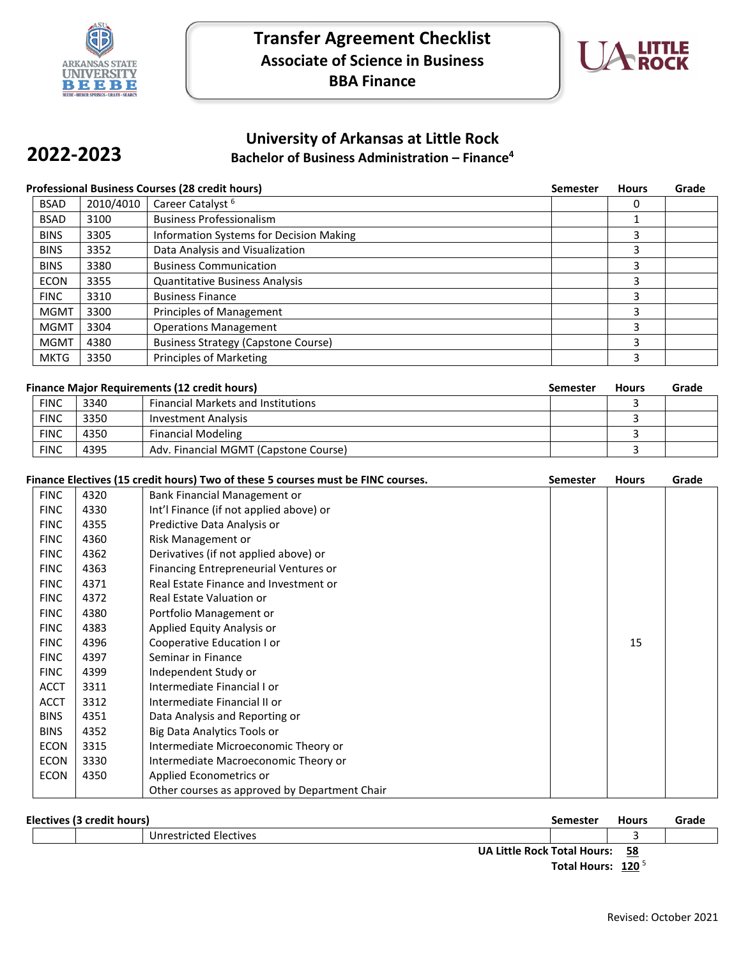

**2022-2023**



## **University of Arkansas at Little Rock Bachelor of Business Administration – Finance4**

| <b>Professional Business Courses (28 credit hours)</b> |           |                                            | <b>Semester</b> | <b>Hours</b> | Grade |
|--------------------------------------------------------|-----------|--------------------------------------------|-----------------|--------------|-------|
| <b>BSAD</b>                                            | 2010/4010 | Career Catalyst <sup>6</sup>               |                 |              |       |
| <b>BSAD</b>                                            | 3100      | <b>Business Professionalism</b>            |                 |              |       |
| <b>BINS</b>                                            | 3305      | Information Systems for Decision Making    |                 |              |       |
| <b>BINS</b>                                            | 3352      | Data Analysis and Visualization            |                 |              |       |
| <b>BINS</b>                                            | 3380      | <b>Business Communication</b>              |                 |              |       |
| <b>ECON</b>                                            | 3355      | <b>Quantitative Business Analysis</b>      |                 |              |       |
| <b>FINC</b>                                            | 3310      | <b>Business Finance</b>                    |                 |              |       |
| <b>MGMT</b>                                            | 3300      | <b>Principles of Management</b>            |                 |              |       |
| <b>MGMT</b>                                            | 3304      | <b>Operations Management</b>               |                 |              |       |
| <b>MGMT</b>                                            | 4380      | <b>Business Strategy (Capstone Course)</b> |                 |              |       |
| <b>MKTG</b>                                            | 3350      | <b>Principles of Marketing</b>             |                 |              |       |

| <b>Finance Major Requirements (12 credit hours)</b> |             |      | Semester                                  | <b>Hours</b> | Grade |  |
|-----------------------------------------------------|-------------|------|-------------------------------------------|--------------|-------|--|
|                                                     | <b>FINC</b> | 3340 | <b>Financial Markets and Institutions</b> |              |       |  |
|                                                     | <b>FINC</b> | 3350 | Investment Analysis                       |              |       |  |
|                                                     | <b>FINC</b> | 4350 | <b>Financial Modeling</b>                 |              |       |  |
|                                                     | <b>FINC</b> | 4395 | Adv. Financial MGMT (Capstone Course)     |              |       |  |

|             |      | Finance Electives (15 credit hours) Two of these 5 courses must be FINC courses. | <b>Semester</b> | <b>Hours</b> | Grade |
|-------------|------|----------------------------------------------------------------------------------|-----------------|--------------|-------|
| <b>FINC</b> | 4320 | Bank Financial Management or                                                     |                 |              |       |
| <b>FINC</b> | 4330 | Int'l Finance (if not applied above) or                                          |                 |              |       |
| <b>FINC</b> | 4355 | Predictive Data Analysis or                                                      |                 |              |       |
| <b>FINC</b> | 4360 | Risk Management or                                                               |                 |              |       |
| <b>FINC</b> | 4362 | Derivatives (if not applied above) or                                            |                 |              |       |
| <b>FINC</b> | 4363 | Financing Entrepreneurial Ventures or                                            |                 |              |       |
| <b>FINC</b> | 4371 | Real Estate Finance and Investment or                                            |                 |              |       |
| <b>FINC</b> | 4372 | Real Estate Valuation or                                                         |                 |              |       |
| <b>FINC</b> | 4380 | Portfolio Management or                                                          |                 |              |       |
| <b>FINC</b> | 4383 | Applied Equity Analysis or                                                       |                 |              |       |
| <b>FINC</b> | 4396 | Cooperative Education I or                                                       |                 | 15           |       |
| <b>FINC</b> | 4397 | Seminar in Finance                                                               |                 |              |       |
| <b>FINC</b> | 4399 | Independent Study or                                                             |                 |              |       |
| <b>ACCT</b> | 3311 | Intermediate Financial I or                                                      |                 |              |       |
| <b>ACCT</b> | 3312 | Intermediate Financial II or                                                     |                 |              |       |
| <b>BINS</b> | 4351 | Data Analysis and Reporting or                                                   |                 |              |       |
| <b>BINS</b> | 4352 | <b>Big Data Analytics Tools or</b>                                               |                 |              |       |
| ECON        | 3315 | Intermediate Microeconomic Theory or                                             |                 |              |       |
| <b>ECON</b> | 3330 | Intermediate Macroeconomic Theory or                                             |                 |              |       |
| <b>ECON</b> | 4350 | Applied Econometrics or                                                          |                 |              |       |
|             |      | Other courses as approved by Department Chair                                    |                 |              |       |

| Electives (3 credit hours) |  |  |                                | Semester                      | <b>Hours</b> | Grade |
|----------------------------|--|--|--------------------------------|-------------------------------|--------------|-------|
|                            |  |  | Unrestricted Electives         |                               |              |       |
|                            |  |  | UA Little Rock Total Hours: 58 | Total Hours: 120 <sup>5</sup> |              |       |